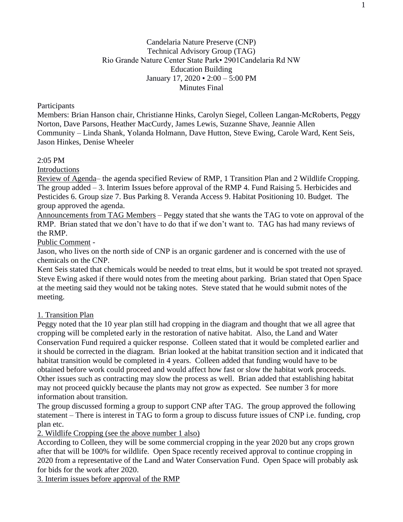### **Participants**

Members: Brian Hanson chair, Christianne Hinks, Carolyn Siegel, Colleen Langan-McRoberts, Peggy Norton, Dave Parsons, Heather MacCurdy, James Lewis, Suzanne Shave, Jeannie Allen Community – Linda Shank, Yolanda Holmann, Dave Hutton, Steve Ewing, Carole Ward, Kent Seis, Jason Hinkes, Denise Wheeler

### 2:05 PM

Introductions

Review of Agenda– the agenda specified Review of RMP, 1 Transition Plan and 2 Wildlife Cropping. The group added – 3. Interim Issues before approval of the RMP 4. Fund Raising 5. Herbicides and Pesticides 6. Group size 7. Bus Parking 8. Veranda Access 9. Habitat Positioning 10. Budget. The group approved the agenda.

Announcements from TAG Members – Peggy stated that she wants the TAG to vote on approval of the RMP. Brian stated that we don't have to do that if we don't want to. TAG has had many reviews of the RMP.

Public Comment -

Jason, who lives on the north side of CNP is an organic gardener and is concerned with the use of chemicals on the CNP.

Kent Seis stated that chemicals would be needed to treat elms, but it would be spot treated not sprayed. Steve Ewing asked if there would notes from the meeting about parking. Brian stated that Open Space at the meeting said they would not be taking notes. Steve stated that he would submit notes of the meeting.

### 1. Transition Plan

Peggy noted that the 10 year plan still had cropping in the diagram and thought that we all agree that cropping will be completed early in the restoration of native habitat. Also, the Land and Water Conservation Fund required a quicker response. Colleen stated that it would be completed earlier and it should be corrected in the diagram. Brian looked at the habitat transition section and it indicated that habitat transition would be completed in 4 years. Colleen added that funding would have to be obtained before work could proceed and would affect how fast or slow the habitat work proceeds. Other issues such as contracting may slow the process as well. Brian added that establishing habitat may not proceed quickly because the plants may not grow as expected. See number 3 for more information about transition.

The group discussed forming a group to support CNP after TAG. The group approved the following statement – There is interest in TAG to form a group to discuss future issues of CNP i.e. funding, crop plan etc.

2. Wildlife Cropping (see the above number 1 also)

According to Colleen, they will be some commercial cropping in the year 2020 but any crops grown after that will be 100% for wildlife. Open Space recently received approval to continue cropping in 2020 from a representative of the Land and Water Conservation Fund. Open Space will probably ask for bids for the work after 2020.

3. Interim issues before approval of the RMP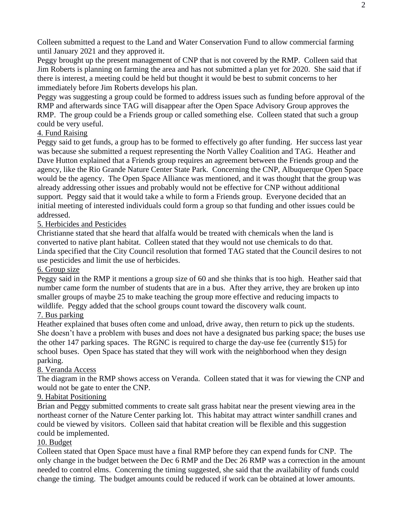Colleen submitted a request to the Land and Water Conservation Fund to allow commercial farming until January 2021 and they approved it.

Peggy brought up the present management of CNP that is not covered by the RMP. Colleen said that Jim Roberts is planning on farming the area and has not submitted a plan yet for 2020. She said that if there is interest, a meeting could be held but thought it would be best to submit concerns to her immediately before Jim Roberts develops his plan.

Peggy was suggesting a group could be formed to address issues such as funding before approval of the RMP and afterwards since TAG will disappear after the Open Space Advisory Group approves the RMP. The group could be a Friends group or called something else. Colleen stated that such a group could be very useful.

# 4. Fund Raising

Peggy said to get funds, a group has to be formed to effectively go after funding. Her success last year was because she submitted a request representing the North Valley Coalition and TAG. Heather and Dave Hutton explained that a Friends group requires an agreement between the Friends group and the agency, like the Rio Grande Nature Center State Park. Concerning the CNP, Albuquerque Open Space would be the agency. The Open Space Alliance was mentioned, and it was thought that the group was already addressing other issues and probably would not be effective for CNP without additional support. Peggy said that it would take a while to form a Friends group. Everyone decided that an initial meeting of interested individuals could form a group so that funding and other issues could be addressed.

# 5. Herbicides and Pesticides

Christianne stated that she heard that alfalfa would be treated with chemicals when the land is converted to native plant habitat. Colleen stated that they would not use chemicals to do that. Linda specified that the City Council resolution that formed TAG stated that the Council desires to not use pesticides and limit the use of herbicides.

## 6. Group size

Peggy said in the RMP it mentions a group size of 60 and she thinks that is too high. Heather said that number came form the number of students that are in a bus. After they arrive, they are broken up into smaller groups of maybe 25 to make teaching the group more effective and reducing impacts to wildlife. Peggy added that the school groups count toward the discovery walk count.

# 7. Bus parking

Heather explained that buses often come and unload, drive away, then return to pick up the students. She doesn't have a problem with buses and does not have a designated bus parking space; the buses use the other 147 parking spaces. The RGNC is required to charge the day-use fee (currently \$15) for school buses. Open Space has stated that they will work with the neighborhood when they design parking.

## 8. Veranda Access

The diagram in the RMP shows access on Veranda. Colleen stated that it was for viewing the CNP and would not be gate to enter the CNP.

## 9. Habitat Positioning

Brian and Peggy submitted comments to create salt grass habitat near the present viewing area in the northeast corner of the Nature Center parking lot. This habitat may attract winter sandhill cranes and could be viewed by visitors. Colleen said that habitat creation will be flexible and this suggestion could be implemented.

## 10. Budget

Colleen stated that Open Space must have a final RMP before they can expend funds for CNP. The only change in the budget between the Dec 6 RMP and the Dec 26 RMP was a correction in the amount needed to control elms. Concerning the timing suggested, she said that the availability of funds could change the timing. The budget amounts could be reduced if work can be obtained at lower amounts.